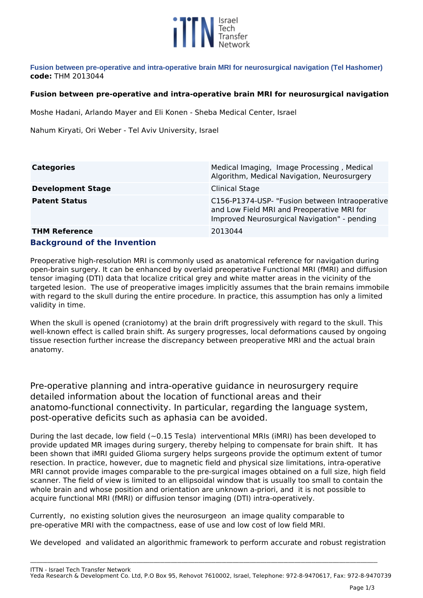

**Fusion between pre-operative and intra-operative brain MRI for neurosurgical navigation (Tel Hashomer) code:** *THM 2013044* 

#### **Fusion between pre-operative and intra-operative brain MRI for neurosurgical navigation**

*Moshe Hadani, Arlando Mayer and Eli Konen - Sheba Medical Center, Israel*

*Nahum Kiryati, Ori Weber - Tel Aviv University, Israel*

| <b>Categories</b>           | Medical Imaging, Image Processing, Medical<br>Algorithm, Medical Navigation, Neurosurgery                                                    |
|-----------------------------|----------------------------------------------------------------------------------------------------------------------------------------------|
| <b>Development Stage</b>    | <b>Clinical Stage</b>                                                                                                                        |
| <b>Patent Status</b>        | C156-P1374-USP- "Fusion between Intraoperative<br>and Low Field MRI and Preoperative MRI for<br>Improved Neurosurgical Navigation" - pending |
| <b>THM Reference</b>        | 2013044                                                                                                                                      |
| Rackaround of the Invention |                                                                                                                                              |

# **Background of the Invention**

*Preoperative high-resolution MRI is commonly used as anatomical reference for navigation during open-brain surgery. It can be enhanced by overlaid preoperative Functional MRI (fMRI) and diffusion tensor imaging (DTI) data that localize critical grey and white matter areas in the vicinity of the targeted lesion. The use of preoperative images implicitly assumes that the brain remains immobile with regard to the skull during the entire procedure. In practice, this assumption has only a limited validity in time.* 

*When the skull is opened (craniotomy) at the brain drift progressively with regard to the skull. This well-known effect is called brain shift. As surgery progresses, local deformations caused by ongoing tissue resection further increase the discrepancy between preoperative MRI and the actual brain anatomy.* 

*Pre-operative planning and intra-operative guidance in neurosurgery require detailed information about the location of functional areas and their anatomo-functional connectivity. In particular, regarding the language system, post-operative deficits such as aphasia can be avoided.*

*During the last decade, low field (~0.15 Tesla) interventional MRIs (iMRI) has been developed to provide updated MR images during surgery, thereby helping to compensate for brain shift. It has been shown that iMRI guided Glioma surgery helps surgeons provide the optimum extent of tumor resection. In practice, however, due to magnetic field and physical size limitations, intra-operative MRI cannot provide images comparable to the pre-surgical images obtained on a full size, high field scanner. The field of view is limited to an ellipsoidal window that is usually too small to contain the whole brain and whose position and orientation are unknown a-priori, and it is not possible to acquire functional MRI (fMRI) or diffusion tensor imaging (DTI) intra-operatively.* 

*Currently, no existing solution gives the neurosurgeon an image quality comparable to pre-operative MRI with the compactness, ease of use and low cost of low field MRI.*

*We developed and validated an algorithmic framework to perform accurate and robust registration*

**\_\_\_\_\_\_\_\_\_\_\_\_\_\_\_\_\_\_\_\_\_\_\_\_\_\_\_\_\_\_\_\_\_\_\_\_\_\_\_\_\_\_\_\_\_\_\_\_\_\_\_\_\_\_\_\_\_\_\_\_\_\_\_\_\_\_\_\_\_\_\_\_\_\_\_\_\_\_\_\_\_\_\_\_\_\_\_\_\_\_\_\_\_\_\_\_\_\_\_\_\_\_\_\_\_\_\_\_\_\_\_\_\_\_\_\_\_\_\_\_\_\_\_\_\_\_\_\_\_\_\_\_\_\_\_\_\_\_\_\_\_\_\_\_\_\_\_\_\_\_\_\_\_\_\_\_\_\_\_\_\_\_\_**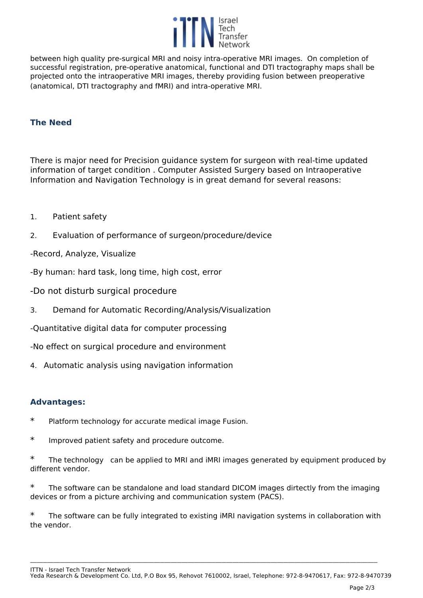

*between high quality pre-surgical MRI and noisy intra-operative MRI images. On completion of successful registration, pre-operative anatomical, functional and DTI tractography maps shall be projected onto the intraoperative MRI images, thereby providing fusion between preoperative (anatomical, DTI tractography and fMRI) and intra-operative MRI.*

# **The Need**

*There is major need for Precision guidance system for surgeon with real-time updated information of target condition . Computer Assisted Surgery based on Intraoperative Information and Navigation Technology is in great demand for several reasons:*

- *1. Patient safety*
- *2. Evaluation of performance of surgeon/procedure/device*

*-Record, Analyze, Visualize* 

*-By human: hard task, long time, high cost, error* 

*-Do not disturb surgical procedure* 

*3. Demand for Automatic Recording/Analysis/Visualization* 

*-Quantitative digital data for computer processing* 

*-No effect on surgical procedure and environment* 

*4. Automatic analysis using navigation information*

### **Advantages:**

- ∗ *Platform technology for accurate medical image Fusion.*
- ∗ *Improved patient safety and procedure outcome.*

∗ *The technology can be applied to MRI and iMRI images generated by equipment produced by different vendor.* 

∗ *The software can be standalone and load standard DICOM images dirtectly from the imaging devices or from a picture archiving and communication system (PACS).* 

∗ *The software can be fully integrated to existing iMRI navigation systems in collaboration with the vendor.* 

*ITTN - Israel Tech Transfer Network*

*Yeda Research & Development Co. Ltd, P.O Box 95, Rehovot 7610002, Israel, Telephone: 972-8-9470617, Fax: 972-8-9470739*

**\_\_\_\_\_\_\_\_\_\_\_\_\_\_\_\_\_\_\_\_\_\_\_\_\_\_\_\_\_\_\_\_\_\_\_\_\_\_\_\_\_\_\_\_\_\_\_\_\_\_\_\_\_\_\_\_\_\_\_\_\_\_\_\_\_\_\_\_\_\_\_\_\_\_\_\_\_\_\_\_\_\_\_\_\_\_\_\_\_\_\_\_\_\_\_\_\_\_\_\_\_\_\_\_\_\_\_\_\_\_\_\_\_\_\_\_\_\_\_\_\_\_\_\_\_\_\_\_\_\_\_\_\_\_\_\_\_\_\_\_\_\_\_\_\_\_\_\_\_\_\_\_\_\_\_\_\_\_\_\_\_\_\_**